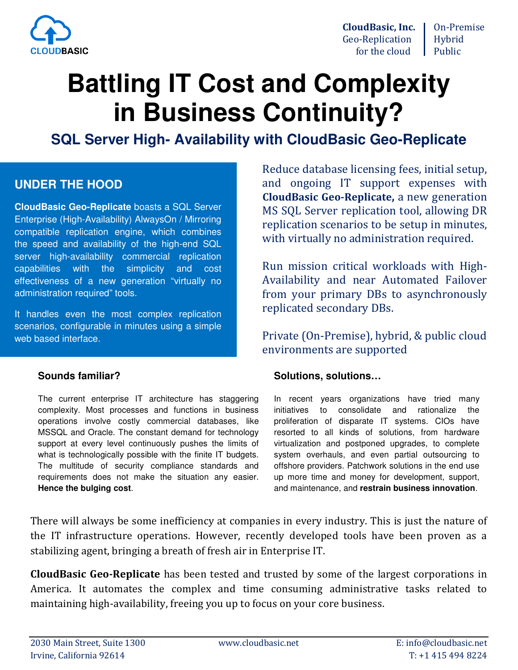

**CloudBasic, Inc.** | On-Premise Geo-Replication Hybrid for the cloud  $\Box$  Public

# **Battling IT Cost and Complexity in Business Continuity?**

**SQL Server High- Availability with CloudBasic Geo-Replicate** 

### **UNDER THE HOOD**

**CloudBasic Geo-Replicate** boasts a SQL Server Enterprise (High-Availability) AlwaysOn / Mirroring compatible replication engine, which combines the speed and availability of the high-end SQL server high-availability commercial replication capabilities with the simplicity and cost effectiveness of a new generation "virtually no administration required" tools.

It handles even the most complex replication scenarios, configurable in minutes using a simple web based interface.

#### **Sounds familiar?**

The current enterprise IT architecture has staggering complexity. Most processes and functions in business operations involve costly commercial databases, like MSSQL and Oracle. The constant demand for technology support at every level continuously pushes the limits of what is technologically possible with the finite IT budgets. The multitude of security compliance standards and requirements does not make the situation any easier. **Hence the bulging cost**.

Reduce database licensing fees, initial setup, and ongoing IT support expenses with **CloudBasic Geo-Replicate,** a new generation MS SQL Server replication tool, allowing DR replication scenarios to be setup in minutes, with virtually no administration required.

Run mission critical workloads with High-Availability and near Automated Failover from your primary DBs to asynchronously replicated secondary DBs.

Private (On-Premise), hybrid, & public cloud environments are supported

#### **Solutions, solutions…**

In recent years organizations have tried many initiatives to consolidate and rationalize the proliferation of disparate IT systems. CIOs have resorted to all kinds of solutions, from hardware virtualization and postponed upgrades, to complete system overhauls, and even partial outsourcing to offshore providers. Patchwork solutions in the end use up more time and money for development, support, and maintenance, and **restrain business innovation**.

There will always be some inefficiency at companies in every industry. This is just the nature of the IT infrastructure operations. However, recently developed tools have been proven as a stabilizing agent, bringing a breath of fresh air in Enterprise IT.

**CloudBasic Geo-Replicate** has been tested and trusted by some of the largest corporations in America. It automates the complex and time consuming administrative tasks related to maintaining high-availability, freeing you up to focus on your core business.